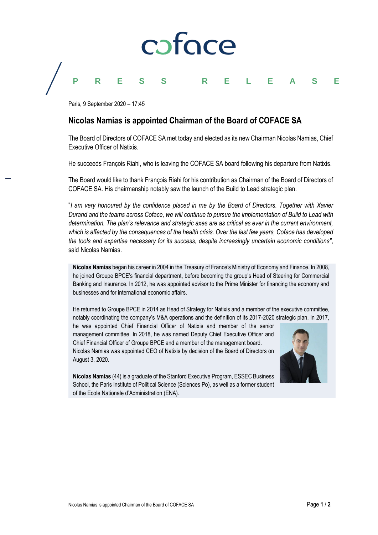

## **PRESS RELEASE**

Paris, 9 September 2020 – 17:45

## **Nicolas Namias is appointed Chairman of the Board of COFACE SA**

The Board of Directors of COFACE SA met today and elected as its new Chairman Nicolas Namias, Chief Executive Officer of Natixis.

He succeeds François Riahi, who is leaving the COFACE SA board following his departure from Natixis.

The Board would like to thank François Riahi for his contribution as Chairman of the Board of Directors of COFACE SA. His chairmanship notably saw the launch of the Build to Lead strategic plan.

"*I am very honoured by the confidence placed in me by the Board of Directors. Together with Xavier Durand and the teams across Coface, we will continue to pursue the implementation of Build to Lead with determination. The plan's relevance and strategic axes are as critical as ever in the current environment, which is affected by the consequences of the health crisis. Over the last few years, Coface has developed the tools and expertise necessary for its success, despite increasingly uncertain economic conditions"*, said Nicolas Namias.

**Nicolas Namias** began his career in 2004 in the Treasury of France's Ministry of Economy and Finance. In 2008, he joined Groupe BPCE's financial department, before becoming the group's Head of Steering for Commercial Banking and Insurance. In 2012, he was appointed advisor to the Prime Minister for financing the economy and businesses and for international economic affairs.

He returned to Groupe BPCE in 2014 as Head of Strategy for Natixis and a member of the executive committee, notably coordinating the company's M&A operations and the definition of its 2017-2020 strategic plan. In 2017,

he was appointed Chief Financial Officer of Natixis and member of the senior management committee. In 2018, he was named Deputy Chief Executive Officer and Chief Financial Officer of Groupe BPCE and a member of the management board. Nicolas Namias was appointed CEO of Natixis by decision of the Board of Directors on August 3, 2020.



**Nicolas Namias** (44) is a graduate of the Stanford Executive Program, ESSEC Business School, the Paris Institute of Political Science (Sciences Po), as well as a former student of the Ecole Nationale d'Administration (ENA).